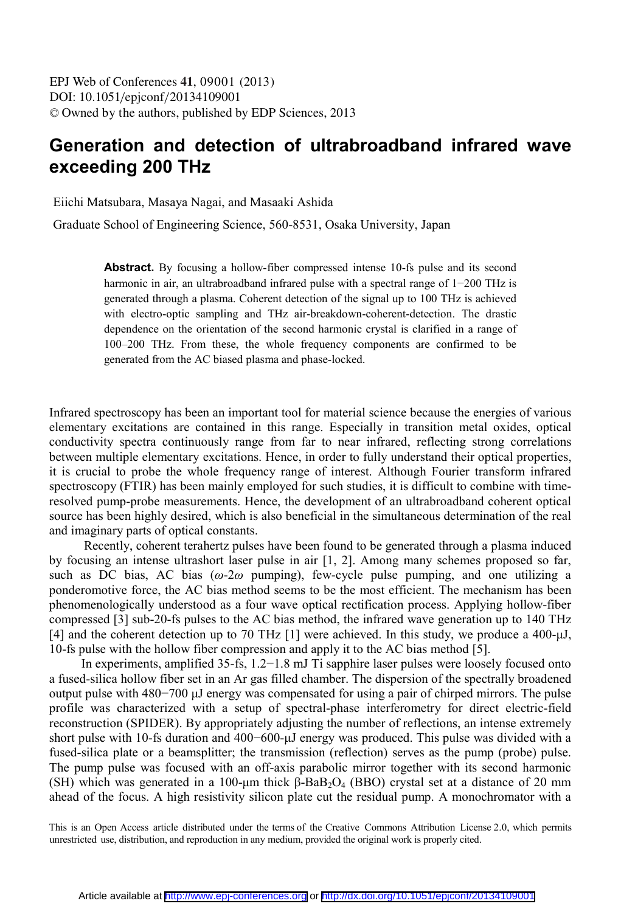EPJ Web of Conferences , **41** 09001 (2013) DOI: 10.1051/epjconf/20134109001 <sup>C</sup> Owned by the authors, published by EDP Sciences, 2013

## **Generation and detection of ultrabroadband infrared wave exceeding 200 THz**

Eiichi Matsubara, Masaya Nagai, and Masaaki Ashida

Graduate School of Engineering Science, 560-8531, Osaka University, Japan

**Abstract.** By focusing a hollow-fiber compressed intense 10-fs pulse and its second harmonic in air, an ultrabroadband infrared pulse with a spectral range of 1−200 THz is generated through a plasma. Coherent detection of the signal up to 100 THz is achieved with electro-optic sampling and THz air-breakdown-coherent-detection. The drastic dependence on the orientation of the second harmonic crystal is clarified in a range of 100–200 THz. From these, the whole frequency components are confirmed to be generated from the AC biased plasma and phase-locked.

Infrared spectroscopy has been an important tool for material science because the energies of various elementary excitations are contained in this range. Especially in transition metal oxides, optical conductivity spectra continuously range from far to near infrared, reflecting strong correlations between multiple elementary excitations. Hence, in order to fully understand their optical properties, it is crucial to probe the whole frequency range of interest. Although Fourier transform infrared spectroscopy (FTIR) has been mainly employed for such studies, it is difficult to combine with timeresolved pump-probe measurements. Hence, the development of an ultrabroadband coherent optical source has been highly desired, which is also beneficial in the simultaneous determination of the real and imaginary parts of optical constants.

 Recently, coherent terahertz pulses have been found to be generated through a plasma induced by focusing an intense ultrashort laser pulse in air [1, 2]. Among many schemes proposed so far, such as DC bias, AC bias ( $\omega$ -2 $\omega$  pumping), few-cycle pulse pumping, and one utilizing a ponderomotive force, the AC bias method seems to be the most efficient. The mechanism has been phenomenologically understood as a four wave optical rectification process. Applying hollow-fiber compressed [3] sub-20-fs pulses to the AC bias method, the infrared wave generation up to 140 THz [4] and the coherent detection up to 70 THz [1] were achieved. In this study, we produce a 400-µJ, 10-fs pulse with the hollow fiber compression and apply it to the AC bias method [5].

In experiments, amplified 35-fs, 1.2−1.8 mJ Ti sapphire laser pulses were loosely focused onto a fused-silica hollow fiber set in an Ar gas filled chamber. The dispersion of the spectrally broadened output pulse with 480−700 µJ energy was compensated for using a pair of chirped mirrors. The pulse profile was characterized with a setup of spectral-phase interferometry for direct electric-field reconstruction (SPIDER). By appropriately adjusting the number of reflections, an intense extremely short pulse with 10-fs duration and 400−600-µJ energy was produced. This pulse was divided with a fused-silica plate or a beamsplitter; the transmission (reflection) serves as the pump (probe) pulse. The pump pulse was focused with an off-axis parabolic mirror together with its second harmonic (SH) which was generated in a 100-μm thick  $β$ -BaB<sub>2</sub>O<sub>4</sub> (BBO) crystal set at a distance of 20 mm ahead of the focus. A high resistivity silicon plate cut the residual pump. A monochromator with a

This is an Open Access article distributed under the terms of the Creative Commons Attribution License 2.0, which permits unrestricted use, distribution, and reproduction in any medium, provided the original work is properly cited.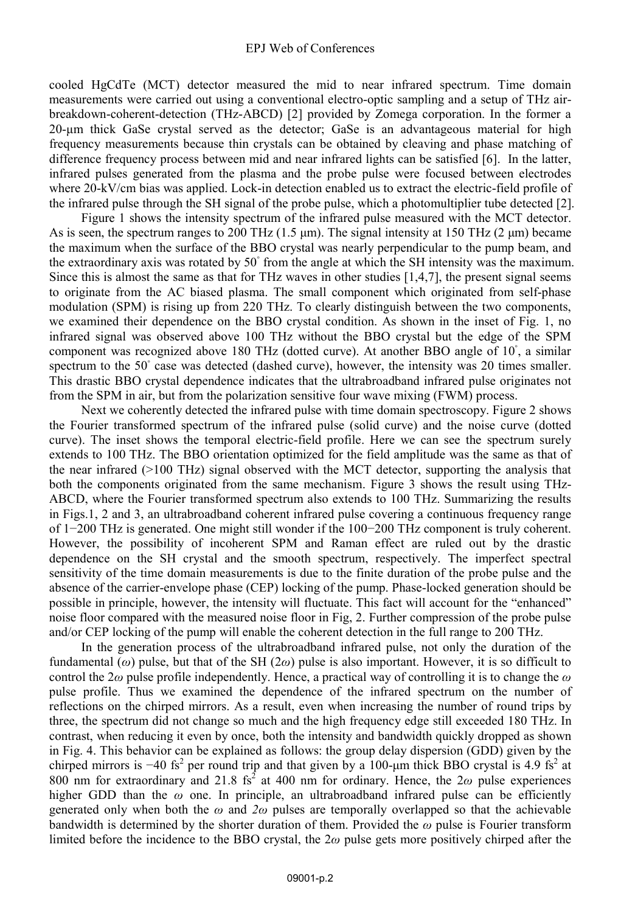## EPJ Web of Conferences

cooled HgCdTe (MCT) detector measured the mid to near infrared spectrum. Time domain measurements were carried out using a conventional electro-optic sampling and a setup of THz airbreakdown-coherent-detection (THz-ABCD) [2] provided by Zomega corporation. In the former a 20-µm thick GaSe crystal served as the detector; GaSe is an advantageous material for high frequency measurements because thin crystals can be obtained by cleaving and phase matching of difference frequency process between mid and near infrared lights can be satisfied [6]. In the latter, infrared pulses generated from the plasma and the probe pulse were focused between electrodes where 20-kV/cm bias was applied. Lock-in detection enabled us to extract the electric-field profile of the infrared pulse through the SH signal of the probe pulse, which a photomultiplier tube detected [2].

Figure 1 shows the intensity spectrum of the infrared pulse measured with the MCT detector. As is seen, the spectrum ranges to 200 THz  $(1.5 \text{ µm})$ . The signal intensity at 150 THz  $(2 \text{ µm})$  became the maximum when the surface of the BBO crystal was nearly perpendicular to the pump beam, and the extraordinary axis was rotated by 50◦ from the angle at which the SH intensity was the maximum. Since this is almost the same as that for THz waves in other studies  $[1,4,7]$ , the present signal seems to originate from the AC biased plasma. The small component which originated from self-phase modulation (SPM) is rising up from 220 THz. To clearly distinguish between the two components, we examined their dependence on the BBO crystal condition. As shown in the inset of Fig. 1, no infrared signal was observed above 100 THz without the BBO crystal but the edge of the SPM component was recognized above 180 THz (dotted curve). At another BBO angle of 10◦ , a similar spectrum to the 50° case was detected (dashed curve), however, the intensity was 20 times smaller. This drastic BBO crystal dependence indicates that the ultrabroadband infrared pulse originates not from the SPM in air, but from the polarization sensitive four wave mixing (FWM) process.

Next we coherently detected the infrared pulse with time domain spectroscopy. Figure 2 shows the Fourier transformed spectrum of the infrared pulse (solid curve) and the noise curve (dotted curve). The inset shows the temporal electric-field profile. Here we can see the spectrum surely extends to 100 THz. The BBO orientation optimized for the field amplitude was the same as that of the near infrared (>100 THz) signal observed with the MCT detector, supporting the analysis that both the components originated from the same mechanism. Figure 3 shows the result using THz-ABCD, where the Fourier transformed spectrum also extends to 100 THz. Summarizing the results in Figs.1, 2 and 3, an ultrabroadband coherent infrared pulse covering a continuous frequency range of 1−200 THz is generated. One might still wonder if the 100−200 THz component is truly coherent. However, the possibility of incoherent SPM and Raman effect are ruled out by the drastic dependence on the SH crystal and the smooth spectrum, respectively. The imperfect spectral sensitivity of the time domain measurements is due to the finite duration of the probe pulse and the absence of the carrier-envelope phase (CEP) locking of the pump. Phase-locked generation should be possible in principle, however, the intensity will fluctuate. This fact will account for the "enhanced" noise floor compared with the measured noise floor in Fig, 2. Further compression of the probe pulse and/or CEP locking of the pump will enable the coherent detection in the full range to 200 THz.

In the generation process of the ultrabroadband infrared pulse, not only the duration of the fundamental (*ω*) pulse, but that of the SH (2*ω*) pulse is also important. However, it is so difficult to control the 2*ω* pulse profile independently. Hence, a practical way of controlling it is to change the *ω*  pulse profile. Thus we examined the dependence of the infrared spectrum on the number of reflections on the chirped mirrors. As a result, even when increasing the number of round trips by three, the spectrum did not change so much and the high frequency edge still exceeded 180 THz. In contrast, when reducing it even by once, both the intensity and bandwidth quickly dropped as shown in Fig. 4. This behavior can be explained as follows: the group delay dispersion (GDD) given by the chirped mirrors is -40 fs<sup>2</sup> per round trip and that given by a 100-µm thick BBO crystal is 4.9 fs<sup>2</sup> at  $800$  nm for extraordinary and 21.8 fs<sup>2</sup> at 400 nm for ordinary. Hence, the 2 $\omega$  pulse experiences higher GDD than the *ω* one. In principle, an ultrabroadband infrared pulse can be efficiently generated only when both the *ω* and *2ω* pulses are temporally overlapped so that the achievable bandwidth is determined by the shorter duration of them. Provided the *ω* pulse is Fourier transform limited before the incidence to the BBO crystal, the 2*ω* pulse gets more positively chirped after the